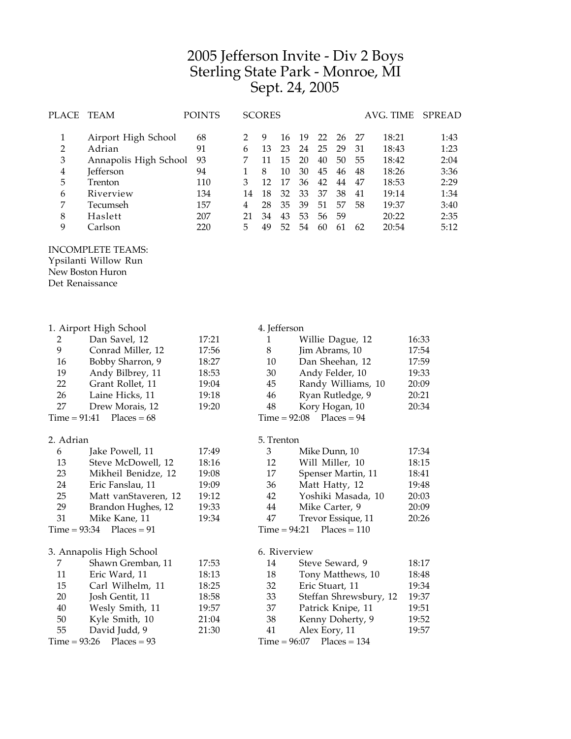## Jefferson Invite - Div 2 Boys Sterling State Park - Monroe, MI Sept. 24, 2005

| PLACE                                                                                   | TEAM                                                                                                                                                      | <b>POINTS</b>                                           | <b>SCORES</b>                               |                                                  |                                                    | AVG. TIME                                          |                                                    |                                                    | <b>SPREAD</b>                                |                                                                               |       |                                                                      |
|-----------------------------------------------------------------------------------------|-----------------------------------------------------------------------------------------------------------------------------------------------------------|---------------------------------------------------------|---------------------------------------------|--------------------------------------------------|----------------------------------------------------|----------------------------------------------------|----------------------------------------------------|----------------------------------------------------|----------------------------------------------|-------------------------------------------------------------------------------|-------|----------------------------------------------------------------------|
| $\mathbf{1}$<br>$\overline{2}$<br>3<br>$\overline{\mathbf{4}}$<br>5<br>6<br>7<br>8<br>9 | Airport High School<br>Adrian<br>Annapolis High School<br>Jefferson<br>Trenton<br>Riverview<br>Tecumseh<br>Haslett<br>Carlson<br><b>INCOMPLETE TEAMS:</b> | 68<br>91<br>93<br>94<br>110<br>134<br>157<br>207<br>220 | 2<br>6<br>7<br>1<br>3<br>14<br>4<br>21<br>5 | 9<br>13<br>11<br>8<br>12<br>18<br>28<br>34<br>49 | 16<br>23<br>15<br>10<br>17<br>32<br>35<br>43<br>52 | 19<br>24<br>20<br>30<br>36<br>33<br>39<br>53<br>54 | 22<br>25<br>40<br>45<br>42<br>37<br>51<br>56<br>60 | 26<br>29<br>50<br>46<br>44<br>38<br>57<br>59<br>61 | 27<br>31<br>55<br>48<br>47<br>41<br>58<br>62 | 18:21<br>18:43<br>18:42<br>18:26<br>18:53<br>19:14<br>19:37<br>20:22<br>20:54 |       | 1:43<br>1:23<br>2:04<br>3:36<br>2:29<br>1:34<br>3:40<br>2:35<br>5:12 |
|                                                                                         | Ypsilanti Willow Run                                                                                                                                      |                                                         |                                             |                                                  |                                                    |                                                    |                                                    |                                                    |                                              |                                                                               |       |                                                                      |
| Det Renaissance                                                                         | New Boston Huron                                                                                                                                          |                                                         |                                             |                                                  |                                                    |                                                    |                                                    |                                                    |                                              |                                                                               |       |                                                                      |
|                                                                                         |                                                                                                                                                           |                                                         |                                             |                                                  |                                                    |                                                    |                                                    |                                                    |                                              |                                                                               |       |                                                                      |
|                                                                                         | 1. Airport High School                                                                                                                                    |                                                         |                                             | 4. Jefferson                                     |                                                    |                                                    |                                                    |                                                    |                                              |                                                                               |       |                                                                      |
| 2                                                                                       | Dan Savel, 12                                                                                                                                             | 17:21                                                   |                                             | 1                                                | Willie Dague, 12                                   |                                                    |                                                    |                                                    |                                              | 16:33                                                                         |       |                                                                      |
| 9                                                                                       | Conrad Miller, 12                                                                                                                                         | 17:56                                                   |                                             | 8                                                |                                                    | Jim Abrams, 10                                     |                                                    |                                                    |                                              |                                                                               | 17:54 |                                                                      |
| 16                                                                                      | Bobby Sharron, 9                                                                                                                                          | 18:27                                                   |                                             | 10                                               |                                                    | Dan Sheehan, 12                                    |                                                    |                                                    |                                              | 17:59                                                                         |       |                                                                      |
| 19                                                                                      | Andy Bilbrey, 11                                                                                                                                          | 18:53                                                   |                                             | 30                                               |                                                    | Andy Felder, 10                                    |                                                    |                                                    |                                              | 19:33                                                                         |       |                                                                      |
| 22                                                                                      | Grant Rollet, 11                                                                                                                                          | 19:04                                                   |                                             | 45                                               |                                                    | Randy Williams, 10                                 |                                                    |                                                    | 20:09                                        |                                                                               |       |                                                                      |
| 26                                                                                      | Laine Hicks, 11                                                                                                                                           | 19:18                                                   |                                             | 46                                               |                                                    | Ryan Rutledge, 9                                   |                                                    |                                                    |                                              |                                                                               | 20:21 |                                                                      |
| 27                                                                                      | Drew Morais, 12                                                                                                                                           | 19:20                                                   |                                             | 48                                               |                                                    | Kory Hogan, 10<br>20:34                            |                                                    |                                                    |                                              |                                                                               |       |                                                                      |
| $Time = 91:41$                                                                          | $Places = 68$                                                                                                                                             |                                                         |                                             |                                                  |                                                    | Time = 92:08                                       |                                                    | $Places = 94$                                      |                                              |                                                                               |       |                                                                      |
| 2. Adrian                                                                               |                                                                                                                                                           |                                                         |                                             | 5. Trenton                                       |                                                    |                                                    |                                                    |                                                    |                                              |                                                                               |       |                                                                      |
| 6                                                                                       | Jake Powell, 11                                                                                                                                           | 17:49                                                   |                                             | 3                                                |                                                    |                                                    | Mike Dunn, 10                                      |                                                    |                                              |                                                                               | 17:34 |                                                                      |
| 13                                                                                      | Steve McDowell, 12                                                                                                                                        | 18:16                                                   |                                             | 12<br>Will Miller, 10                            |                                                    |                                                    | 18:15                                              |                                                    |                                              |                                                                               |       |                                                                      |
| າາ                                                                                      | $M: Lh \sim 1$ Denidee 12                                                                                                                                 | 10.00                                                   |                                             | 17                                               |                                                    |                                                    |                                                    |                                                    | Conceay M <sub>opt</sub> in 11               |                                                                               | 10.41 |                                                                      |

| 23 | Mikheil Benidze, 12        | 19:08 |
|----|----------------------------|-------|
| 24 | Eric Fanslau, 11           | 19:09 |
| 25 | Matt vanStaveren, 12       | 19:12 |
| 29 | Brandon Hughes, 12         | 19:33 |
| 31 | Mike Kane, 11              | 19:34 |
|    | $Time = 93:34$ Places = 91 |       |

| 3. Annapolis High School |                            |       |  |  |  |  |
|--------------------------|----------------------------|-------|--|--|--|--|
| 7                        | Shawn Gremban, 11          | 17:53 |  |  |  |  |
| 11                       | Eric Ward, 11              | 18:13 |  |  |  |  |
| 15                       | Carl Wilhelm, 11           | 18:25 |  |  |  |  |
| 20                       | Josh Gentit, 11            | 18:58 |  |  |  |  |
| 40                       | Wesly Smith, 11            | 19:57 |  |  |  |  |
| 50                       | Kyle Smith, 10             | 21:04 |  |  |  |  |
| 55                       | David Judd, 9              | 21:30 |  |  |  |  |
|                          | $Time = 93:26$ Places = 93 |       |  |  |  |  |

| З  | Mike Dunn, 10               | 17:34 |
|----|-----------------------------|-------|
| 12 | Will Miller, 10             | 18:15 |
| 17 | Spenser Martin, 11          | 18:41 |
| 36 | Matt Hatty, 12              | 19:48 |
| 42 | Yoshiki Masada, 10          | 20:03 |
| 44 | Mike Carter, 9              | 20:09 |
| 47 | Trevor Essique, 11          | 20:26 |
|    | $Time = 94:21$ Places = 110 |       |
|    |                             |       |

## 6. Riverview

| 14 | Steve Seward, 9             | 18:17 |
|----|-----------------------------|-------|
| 18 | Tony Matthews, 10           | 18:48 |
| 32 | Eric Stuart, 11             | 19:34 |
| 33 | Steffan Shrewsbury, 12      | 19:37 |
| 37 | Patrick Knipe, 11           | 19:51 |
| 38 | Kenny Doherty, 9            | 19:52 |
| 41 | Alex Eory, 11               | 19:57 |
|    | $Time = 96:07$ Places = 134 |       |